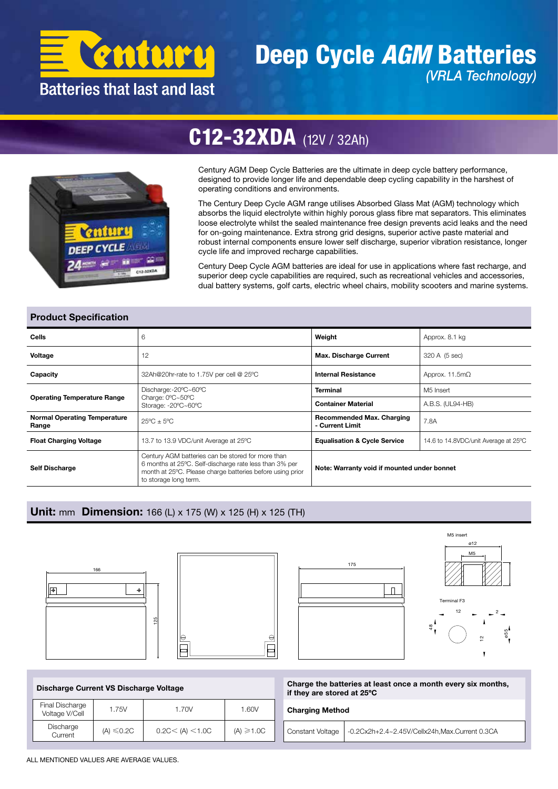

## Deep Cycle *AGM* Batteries *(VRLA Technology)*



# C12-32XDA (12V / 32Ah)

Century AGM Deep Cycle Batteries are the ultimate in deep cycle battery performance, designed to provide longer life and dependable deep cycling capability in the harshest of operating conditions and environments.

The Century Deep Cycle AGM range utilises Absorbed Glass Mat (AGM) technology which absorbs the liquid electrolyte within highly porous glass fibre mat separators. This eliminates loose electrolyte whilst the sealed maintenance free design prevents acid leaks and the need for on-going maintenance. Extra strong grid designs, superior active paste material and robust internal components ensure lower self discharge, superior vibration resistance, longer cycle life and improved recharge capabilities.

Century Deep Cycle AGM batteries are ideal for use in applications where fast recharge, and superior deep cycle capabilities are required, such as recreational vehicles and accessories, dual battery systems, golf carts, electric wheel chairs, mobility scooters and marine systems.

### Product Specification

| Cells                                        | 6                                                                                                                                                                                                 | Weight                                              | Approx. 8.1 kg                       |  |  |
|----------------------------------------------|---------------------------------------------------------------------------------------------------------------------------------------------------------------------------------------------------|-----------------------------------------------------|--------------------------------------|--|--|
| Voltage                                      | 12                                                                                                                                                                                                | <b>Max. Discharge Current</b>                       | 320 A (5 sec)                        |  |  |
| Capacity                                     | 32Ah@20hr-rate to 1.75V per cell @ 25°C                                                                                                                                                           | <b>Internal Resistance</b>                          | Approx. 11.5 $m\Omega$               |  |  |
| <b>Operating Temperature Range</b>           | Discharge:-20°C~60°C                                                                                                                                                                              | <b>Terminal</b>                                     | M5 Insert                            |  |  |
|                                              | Charge: 0°C~50°C<br>Storage: -20°C~60°C                                                                                                                                                           | <b>Container Material</b>                           | A.B.S. (UL94-HB)                     |  |  |
| <b>Normal Operating Temperature</b><br>Range | $25^{\circ}$ C $\pm$ 5°C                                                                                                                                                                          | <b>Recommended Max. Charging</b><br>- Current Limit | 7.8A                                 |  |  |
| <b>Float Charging Voltage</b>                | 13.7 to 13.9 VDC/unit Average at 25°C                                                                                                                                                             | <b>Equalisation &amp; Cycle Service</b>             | 14.6 to 14.8VDC/unit Average at 25°C |  |  |
| <b>Self Discharge</b>                        | Century AGM batteries can be stored for more than<br>6 months at 25°C. Self-discharge rate less than 3% per<br>month at 25°C. Please charge batteries before using prior<br>to storage long term. | Note: Warranty void if mounted under bonnet         |                                      |  |  |

## Unit: mm Dimension: 166 (L) x 175 (W) x 125 (H) x 125 (TH)









Charge the batteries at least once a month every six months, if they are stored at 25ºC

48

#### Charging Method

Constant Voltage | -0.2Cx2h+2.4~2.45V/Cellx24h,Max.Current 0.3CA

| Final Discharge<br>Voltage V/Cell | 1.75V           | 1.70V             | 1.60V          |  |  |
|-----------------------------------|-----------------|-------------------|----------------|--|--|
| Discharge<br>Current              | $(A) \leq 0.2C$ | 0.2C < (A) < 1.0C | $(A) \ge 1.0C$ |  |  |

ALL MENTIONED VALUES ARE AVERAGE VALUES.